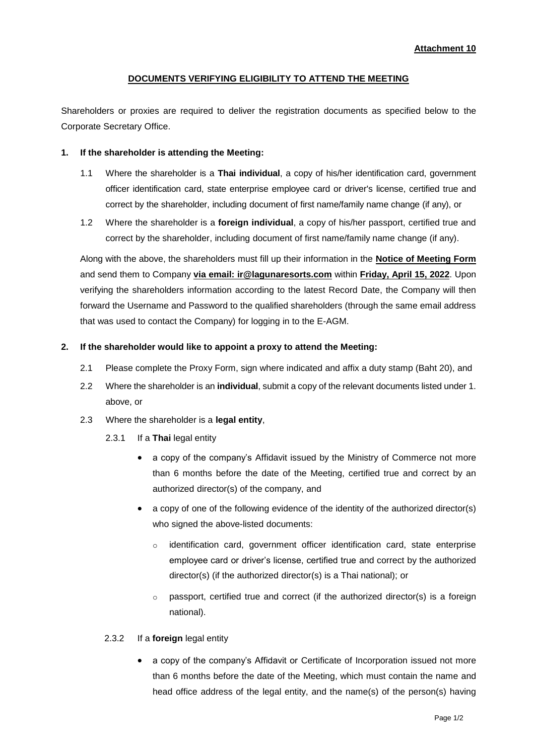# **DOCUMENTS VERIFYING ELIGIBILITY TO ATTEND THE MEETING**

Shareholders or proxies are required to deliver the registration documents as specified below to the Corporate Secretary Office.

#### **1. If the shareholder is attending the Meeting:**

- 1.1 Where the shareholder is a **Thai individual**, a copy of his/her identification card, government officer identification card, state enterprise employee card or driver's license, certified true and correct by the shareholder, including document of first name/family name change (if any), or
- 1.2 Where the shareholder is a **foreign individual**, a copy of his/her passport, certified true and correct by the shareholder, including document of first name/family name change (if any).

Along with the above, the shareholders must fill up their information in the **Notice of Meeting Form** and send them to Company **via email: ir@lagunaresorts.com** within **Friday, April 15, 2022**. Upon verifying the shareholders information according to the latest Record Date, the Company will then forward the Username and Password to the qualified shareholders (through the same email address that was used to contact the Company) for logging in to the E-AGM.

#### **2. If the shareholder would like to appoint a proxy to attend the Meeting:**

- 2.1 Please complete the Proxy Form, sign where indicated and affix a duty stamp (Baht 20), and
- 2.2 Where the shareholder is an **individual**, submit a copy of the relevant documents listed under 1. above, or
- 2.3 Where the shareholder is a **legal entity**,
	- 2.3.1 If a **Thai** legal entity
		- a copy of the company's Affidavit issued by the Ministry of Commerce not more than 6 months before the date of the Meeting, certified true and correct by an authorized director(s) of the company, and
		- a copy of one of the following evidence of the identity of the authorized director(s) who signed the above-listed documents:
			- $\circ$  identification card, government officer identification card, state enterprise employee card or driver's license, certified true and correct by the authorized director(s) (if the authorized director(s) is a Thai national); or
			- $\circ$  passport, certified true and correct (if the authorized director(s) is a foreign national).

### 2.3.2 If a **foreign** legal entity

 a copy of the company's Affidavit or Certificate of Incorporation issued not more than 6 months before the date of the Meeting, which must contain the name and head office address of the legal entity, and the name(s) of the person(s) having